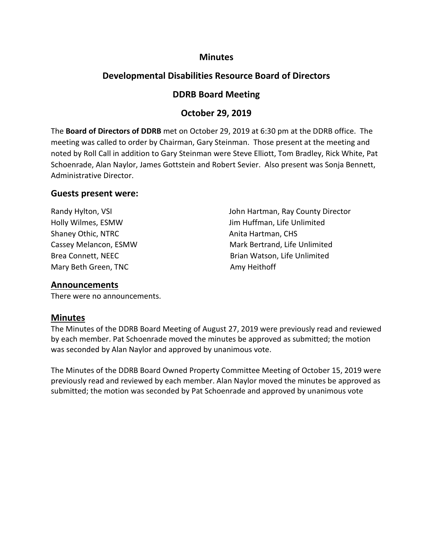## **Minutes**

# **Developmental Disabilities Resource Board of Directors**

# **DDRB Board Meeting**

# **October 29, 2019**

The **Board of Directors of DDRB** met on October 29, 2019 at 6:30 pm at the DDRB office. The meeting was called to order by Chairman, Gary Steinman. Those present at the meeting and noted by Roll Call in addition to Gary Steinman were Steve Elliott, Tom Bradley, Rick White, Pat Schoenrade, Alan Naylor, James Gottstein and Robert Sevier. Also present was Sonja Bennett, Administrative Director.

### **Guests present were:**

Shaney Othic, NTRC Anita Hartman, CHS Mary Beth Green, TNC Amy Heithoff

Randy Hylton, VSI **No. 2018 John Hartman, Ray County Director** Holly Wilmes, ESMW Jim Huffman, Life Unlimited Cassey Melancon, ESMW Mark Bertrand, Life Unlimited Brea Connett, NEEC **Brian Watson**, Life Unlimited

### **Announcements**

There were no announcements.

# **Minutes**

The Minutes of the DDRB Board Meeting of August 27, 2019 were previously read and reviewed by each member. Pat Schoenrade moved the minutes be approved as submitted; the motion was seconded by Alan Naylor and approved by unanimous vote.

The Minutes of the DDRB Board Owned Property Committee Meeting of October 15, 2019 were previously read and reviewed by each member. Alan Naylor moved the minutes be approved as submitted; the motion was seconded by Pat Schoenrade and approved by unanimous vote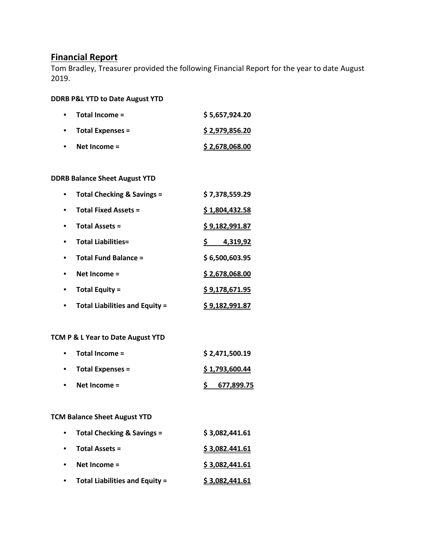## **Financial Report**

Tom Bradley, Treasurer provided the following Financial Report for the year to date August 2019.

#### **DDRB P&L YTD to Date August YTD**

| Total Income =          | \$5,657,924.20 |
|-------------------------|----------------|
| <b>Total Expenses =</b> | \$2,979,856.20 |
| Net Income $=$          | \$2,678,068.00 |

#### **DDRB Balance Sheet August YTD**

| <b>Total Checking &amp; Savings =</b> | \$7,378,559.29 |
|---------------------------------------|----------------|
| <b>Total Fixed Assets =</b>           | \$1,804,432.58 |
| <b>Total Assets =</b>                 | \$9,182,991.87 |
| <b>Total Liabilities=</b>             | 4,319,92       |
| <b>Total Fund Balance =</b>           | \$6,500,603.95 |
| Net Income $=$                        | \$2,678,068.00 |
| <b>Total Equity =</b>                 | \$9,178,671.95 |
| <b>Total Liabilities and Equity =</b> | \$9,182,991.87 |

#### **TCM P & L Year to Date August YTD**

| $\bullet$ | Total Income =          | \$2,471,500.19 |
|-----------|-------------------------|----------------|
| $\bullet$ | <b>Total Expenses =</b> | \$1,793,600.44 |
| $\bullet$ | Net Income $=$          | \$ 677,899.75  |

#### **TCM Balance Sheet August YTD**

| $\bullet$ | Total Checking & Savings =            | \$3,082,441.61 |
|-----------|---------------------------------------|----------------|
| $\bullet$ | <b>Total Assets =</b>                 | \$3,082.441.61 |
| $\bullet$ | Net Income =                          | \$3,082,441.61 |
| $\bullet$ | <b>Total Liabilities and Equity =</b> | \$3,082,441.61 |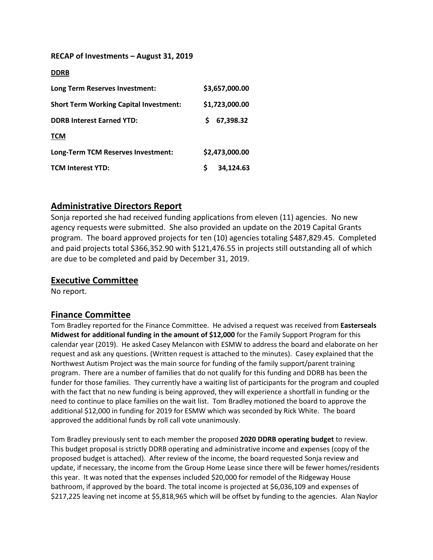#### **RECAP of Investments – August 31, 2019**

| <b>DDRB</b>                                   |                 |
|-----------------------------------------------|-----------------|
| Long Term Reserves Investment:                | \$3,657,000.00  |
| <b>Short Term Working Capital Investment:</b> | \$1,723,000.00  |
| <b>DDRB Interest Earned YTD:</b>              | 67,398.32<br>S. |
| <b>TCM</b>                                    |                 |
| Long-Term TCM Reserves Investment:            | \$2,473,000.00  |
| <b>TCM Interest YTD:</b>                      | Ŝ.<br>34,124.63 |

# **Administrative Directors Report**

Sonja reported she had received funding applications from eleven (11) agencies. No new agency requests were submitted. She also provided an update on the 2019 Capital Grants program. The board approved projects for ten (10) agencies totaling \$487,829.45. Completed and paid projects total \$366,352.90 with \$121,476.55 in projects still outstanding all of which are due to be completed and paid by December 31, 2019.

## **Executive Committee**

No report.

# **Finance Committee**

Tom Bradley reported for the Finance Committee. He advised a request was received from **Easterseals Midwest for additional funding in the amount of \$12,000** for the Family Support Program for this calendar year (2019). He asked Casey Melancon with ESMW to address the board and elaborate on her request and ask any questions. (Written request is attached to the minutes). Casey explained that the Northwest Autism Project was the main source for funding of the family support/parent training program. There are a number of families that do not qualify for this funding and DDRB has been the funder for those families. They currently have a waiting list of participants for the program and coupled with the fact that no new funding is being approved, they will experience a shortfall in funding or the need to continue to place families on the wait list. Tom Bradley motioned the board to approve the additional \$12,000 in funding for 2019 for ESMW which was seconded by Rick White. The board approved the additional funds by roll call vote unanimously.

Tom Bradley previously sent to each member the proposed **2020 DDRB operating budget** to review. This budget proposal is strictly DDRB operating and administrative income and expenses (copy of the proposed budget is attached). After review of the income, the board requested Sonja review and update, if necessary, the income from the Group Home Lease since there will be fewer homes/residents this year. It was noted that the expenses included \$20,000 for remodel of the Ridgeway House bathroom, if approved by the board. The total income is projected at \$6,036,109 and expenses of \$217,225 leaving net income at \$5,818,965 which will be offset by funding to the agencies. Alan Naylor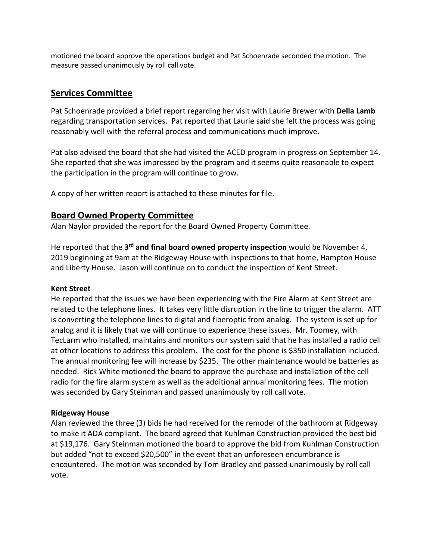motioned the board approve the operations budget and Pat Schoenrade seconded the motion. The measure passed unanimously by roll call vote.

# **Services Committee**

Pat Schoenrade provided a brief report regarding her visit with Laurie Brewer with **Della Lamb** regarding transportation services. Pat reported that Laurie said she felt the process was going reasonably well with the referral process and communications much improve.

Pat also advised the board that she had visited the ACED program in progress on September 14. She reported that she was impressed by the program and it seems quite reasonable to expect the participation in the program will continue to grow.

A copy of her written report is attached to these minutes for file.

# **Board Owned Property Committee**

Alan Naylor provided the report for the Board Owned Property Committee.

He reported that the **3rd and final board owned property inspection** would be November 4, 2019 beginning at 9am at the Ridgeway House with inspections to that home, Hampton House and Liberty House. Jason will continue on to conduct the inspection of Kent Street.

### **Kent Street**

He reported that the issues we have been experiencing with the Fire Alarm at Kent Street are related to the telephone lines. It takes very little disruption in the line to trigger the alarm. ATT is converting the telephone lines to digital and fiberoptic from analog. The system is set up for analog and it is likely that we will continue to experience these issues. Mr. Toomey, with TecLarm who installed, maintains and monitors our system said that he has installed a radio cell at other locations to address this problem. The cost for the phone is \$350 installation included. The annual monitoring fee will increase by \$235. The other maintenance would be batteries as needed. Rick White motioned the board to approve the purchase and installation of the cell radio for the fire alarm system as well as the additional annual monitoring fees. The motion was seconded by Gary Steinman and passed unanimously by roll call vote.

### **Ridgeway House**

Alan reviewed the three (3) bids he had received for the remodel of the bathroom at Ridgeway to make it ADA compliant. The board agreed that Kuhlman Construction provided the best bid at \$19,176. Gary Steinman motioned the board to approve the bid from Kuhlman Construction but added "not to exceed \$20,500" in the event that an unforeseen encumbrance is encountered. The motion was seconded by Tom Bradley and passed unanimously by roll call vote.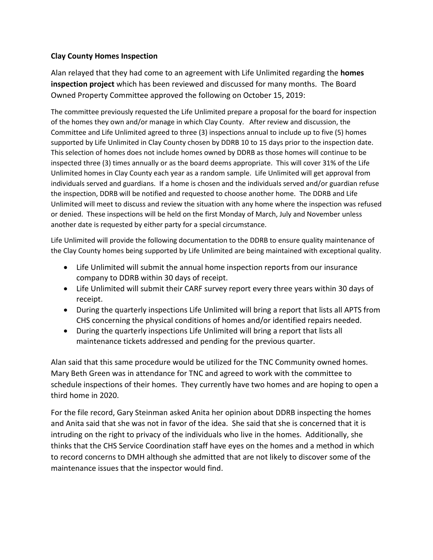### **Clay County Homes Inspection**

Alan relayed that they had come to an agreement with Life Unlimited regarding the **homes inspection project** which has been reviewed and discussed for many months. The Board Owned Property Committee approved the following on October 15, 2019:

The committee previously requested the Life Unlimited prepare a proposal for the board for inspection of the homes they own and/or manage in which Clay County. After review and discussion, the Committee and Life Unlimited agreed to three (3) inspections annual to include up to five (5) homes supported by Life Unlimited in Clay County chosen by DDRB 10 to 15 days prior to the inspection date. This selection of homes does not include homes owned by DDRB as those homes will continue to be inspected three (3) times annually or as the board deems appropriate. This will cover 31% of the Life Unlimited homes in Clay County each year as a random sample. Life Unlimited will get approval from individuals served and guardians. If a home is chosen and the individuals served and/or guardian refuse the inspection, DDRB will be notified and requested to choose another home. The DDRB and Life Unlimited will meet to discuss and review the situation with any home where the inspection was refused or denied. These inspections will be held on the first Monday of March, July and November unless another date is requested by either party for a special circumstance.

Life Unlimited will provide the following documentation to the DDRB to ensure quality maintenance of the Clay County homes being supported by Life Unlimited are being maintained with exceptional quality.

- Life Unlimited will submit the annual home inspection reports from our insurance company to DDRB within 30 days of receipt.
- Life Unlimited will submit their CARF survey report every three years within 30 days of receipt.
- During the quarterly inspections Life Unlimited will bring a report that lists all APTS from CHS concerning the physical conditions of homes and/or identified repairs needed.
- During the quarterly inspections Life Unlimited will bring a report that lists all maintenance tickets addressed and pending for the previous quarter.

Alan said that this same procedure would be utilized for the TNC Community owned homes. Mary Beth Green was in attendance for TNC and agreed to work with the committee to schedule inspections of their homes. They currently have two homes and are hoping to open a third home in 2020.

For the file record, Gary Steinman asked Anita her opinion about DDRB inspecting the homes and Anita said that she was not in favor of the idea. She said that she is concerned that it is intruding on the right to privacy of the individuals who live in the homes. Additionally, she thinks that the CHS Service Coordination staff have eyes on the homes and a method in which to record concerns to DMH although she admitted that are not likely to discover some of the maintenance issues that the inspector would find.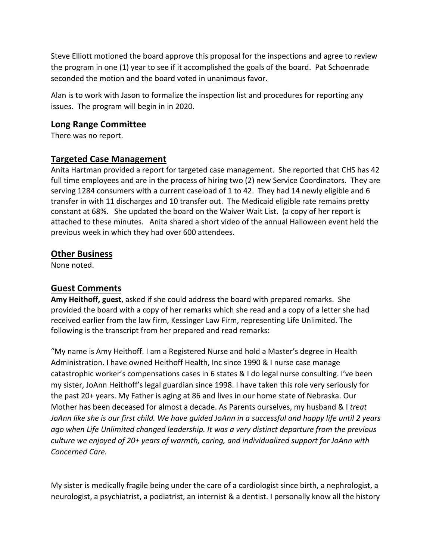Steve Elliott motioned the board approve this proposal for the inspections and agree to review the program in one (1) year to see if it accomplished the goals of the board. Pat Schoenrade seconded the motion and the board voted in unanimous favor.

Alan is to work with Jason to formalize the inspection list and procedures for reporting any issues. The program will begin in in 2020.

## **Long Range Committee**

There was no report.

# **Targeted Case Management**

Anita Hartman provided a report for targeted case management. She reported that CHS has 42 full time employees and are in the process of hiring two (2) new Service Coordinators. They are serving 1284 consumers with a current caseload of 1 to 42. They had 14 newly eligible and 6 transfer in with 11 discharges and 10 transfer out. The Medicaid eligible rate remains pretty constant at 68%. She updated the board on the Waiver Wait List. (a copy of her report is attached to these minutes. Anita shared a short video of the annual Halloween event held the previous week in which they had over 600 attendees.

# **Other Business**

None noted.

# **Guest Comments**

**Amy Heithoff, guest**, asked if she could address the board with prepared remarks. She provided the board with a copy of her remarks which she read and a copy of a letter she had received earlier from the law firm, Kessinger Law Firm, representing Life Unlimited. The following is the transcript from her prepared and read remarks:

"My name is Amy Heithoff. I am a Registered Nurse and hold a Master's degree in Health Administration. I have owned Heithoff Health, Inc since 1990 & I nurse case manage catastrophic worker's compensations cases in 6 states & I do legal nurse consulting. I've been my sister, JoAnn Heithoff's legal guardian since 1998. I have taken this role very seriously for the past 20+ years. My Father is aging at 86 and lives in our home state of Nebraska. Our Mother has been deceased for almost a decade. As Parents ourselves, my husband & I *treat JoAnn like she is our first child. We have guided JoAnn in a successful and happy life until 2 years ago when Life Unlimited changed leadership. It was a very distinct departure from the previous culture we enjoyed of 20+ years of warmth, caring, and individualized support for JoAnn with Concerned Care.*

My sister is medically fragile being under the care of a cardiologist since birth, a nephrologist, a neurologist, a psychiatrist, a podiatrist, an internist & a dentist. I personally know all the history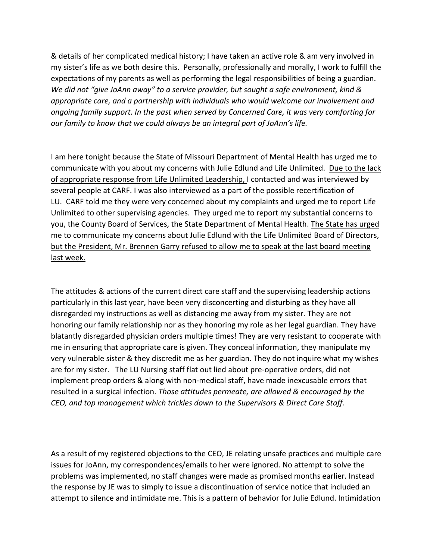& details of her complicated medical history; I have taken an active role & am very involved in my sister's life as we both desire this. Personally, professionally and morally, I work to fulfill the expectations of my parents as well as performing the legal responsibilities of being a guardian. *We did not "give JoAnn away" to a service provider, but sought a safe environment, kind & appropriate care, and a partnership with individuals who would welcome our involvement and ongoing family support. In the past when served by Concerned Care, it was very comforting for our family to know that we could always be an integral part of JoAnn's life.*

I am here tonight because the State of Missouri Department of Mental Health has urged me to communicate with you about my concerns with Julie Edlund and Life Unlimited. Due to the lack of appropriate response from Life Unlimited Leadership, I contacted and was interviewed by several people at CARF. I was also interviewed as a part of the possible recertification of LU. CARF told me they were very concerned about my complaints and urged me to report Life Unlimited to other supervising agencies. They urged me to report my substantial concerns to you, the County Board of Services, the State Department of Mental Health. The State has urged me to communicate my concerns about Julie Edlund with the Life Unlimited Board of Directors, but the President, Mr. Brennen Garry refused to allow me to speak at the last board meeting last week.

The attitudes & actions of the current direct care staff and the supervising leadership actions particularly in this last year, have been very disconcerting and disturbing as they have all disregarded my instructions as well as distancing me away from my sister. They are not honoring our family relationship nor as they honoring my role as her legal guardian. They have blatantly disregarded physician orders multiple times! They are very resistant to cooperate with me in ensuring that appropriate care is given. They conceal information, they manipulate my very vulnerable sister & they discredit me as her guardian. They do not inquire what my wishes are for my sister. The LU Nursing staff flat out lied about pre-operative orders, did not implement preop orders & along with non-medical staff, have made inexcusable errors that resulted in a surgical infection. *Those attitudes permeate, are allowed & encouraged by the CEO, and top management which trickles down to the Supervisors & Direct Care Staff.*

As a result of my registered objections to the CEO, JE relating unsafe practices and multiple care issues for JoAnn, my correspondences/emails to her were ignored. No attempt to solve the problems was implemented, no staff changes were made as promised months earlier. Instead the response by JE was to simply to issue a discontinuation of service notice that included an attempt to silence and intimidate me. This is a pattern of behavior for Julie Edlund. Intimidation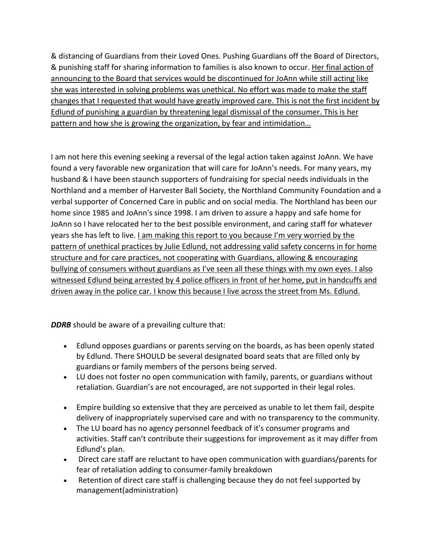& distancing of Guardians from their Loved Ones. Pushing Guardians off the Board of Directors, & punishing staff for sharing information to families is also known to occur. Her final action of announcing to the Board that services would be discontinued for JoAnn while still acting like she was interested in solving problems was unethical. No effort was made to make the staff changes that I requested that would have greatly improved care. This is not the first incident by Edlund of punishing a guardian by threatening legal dismissal of the consumer. This is her pattern and how she is growing the organization, by fear and intimidation…

I am not here this evening seeking a reversal of the legal action taken against JoAnn. We have found a very favorable new organization that will care for JoAnn's needs. For many years, my husband & I have been staunch supporters of fundraising for special needs individuals in the Northland and a member of Harvester Ball Society, the Northland Community Foundation and a verbal supporter of Concerned Care in public and on social media. The Northland has been our home since 1985 and JoAnn's since 1998. I am driven to assure a happy and safe home for JoAnn so I have relocated her to the best possible environment, and caring staff for whatever years she has left to live. I am making this report to you because I'm very worried by the pattern of unethical practices by Julie Edlund, not addressing valid safety concerns in for home structure and for care practices, not cooperating with Guardians, allowing & encouraging bullying of consumers without guardians as I've seen all these things with my own eyes. I also witnessed Edlund being arrested by 4 police officers in front of her home, put in handcuffs and driven away in the police car. I know this because I live across the street from Ms. Edlund.

**DDRB** should be aware of a prevailing culture that:

- Edlund opposes guardians or parents serving on the boards, as has been openly stated by Edlund. There SHOULD be several designated board seats that are filled only by guardians or family members of the persons being served.
- LU does not foster no open communication with family, parents, or guardians without retaliation. Guardian's are not encouraged, are not supported in their legal roles.
- Empire building so extensive that they are perceived as unable to let them fail, despite delivery of inappropriately supervised care and with no transparency to the community.
- The LU board has no agency personnel feedback of it's consumer programs and activities. Staff can't contribute their suggestions for improvement as it may differ from Edlund's plan.
- Direct care staff are reluctant to have open communication with guardians/parents for fear of retaliation adding to consumer-family breakdown
- Retention of direct care staff is challenging because they do not feel supported by management(administration)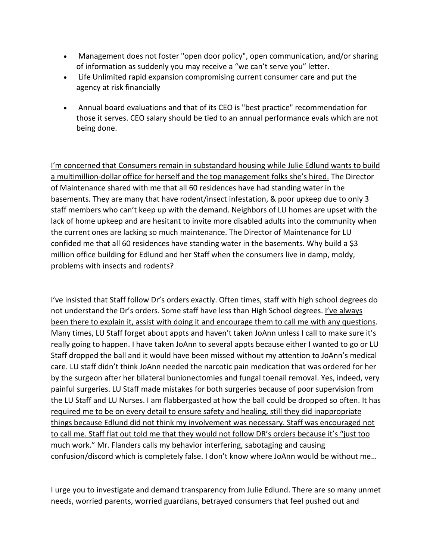- Management does not foster "open door policy", open communication, and/or sharing of information as suddenly you may receive a "we can't serve you" letter.
- Life Unlimited rapid expansion compromising current consumer care and put the agency at risk financially
- Annual board evaluations and that of its CEO is "best practice" recommendation for those it serves. CEO salary should be tied to an annual performance evals which are not being done.

I'm concerned that Consumers remain in substandard housing while Julie Edlund wants to build a multimillion-dollar office for herself and the top management folks she's hired. The Director of Maintenance shared with me that all 60 residences have had standing water in the basements. They are many that have rodent/insect infestation, & poor upkeep due to only 3 staff members who can't keep up with the demand. Neighbors of LU homes are upset with the lack of home upkeep and are hesitant to invite more disabled adults into the community when the current ones are lacking so much maintenance. The Director of Maintenance for LU confided me that all 60 residences have standing water in the basements. Why build a \$3 million office building for Edlund and her Staff when the consumers live in damp, moldy, problems with insects and rodents?

I've insisted that Staff follow Dr's orders exactly. Often times, staff with high school degrees do not understand the Dr's orders. Some staff have less than High School degrees. I've always been there to explain it, assist with doing it and encourage them to call me with any questions. Many times, LU Staff forget about appts and haven't taken JoAnn unless I call to make sure it's really going to happen. I have taken JoAnn to several appts because either I wanted to go or LU Staff dropped the ball and it would have been missed without my attention to JoAnn's medical care. LU staff didn't think JoAnn needed the narcotic pain medication that was ordered for her by the surgeon after her bilateral bunionectomies and fungal toenail removal. Yes, indeed, very painful surgeries. LU Staff made mistakes for both surgeries because of poor supervision from the LU Staff and LU Nurses. *Lam flabbergasted at how the ball could be dropped so often. It has* required me to be on every detail to ensure safety and healing, still they did inappropriate things because Edlund did not think my involvement was necessary. Staff was encouraged not to call me. Staff flat out told me that they would not follow DR's orders because it's "just too much work." Mr. Flanders calls my behavior interfering, sabotaging and causing confusion/discord which is completely false. I don't know where JoAnn would be without me…

I urge you to investigate and demand transparency from Julie Edlund. There are so many unmet needs, worried parents, worried guardians, betrayed consumers that feel pushed out and